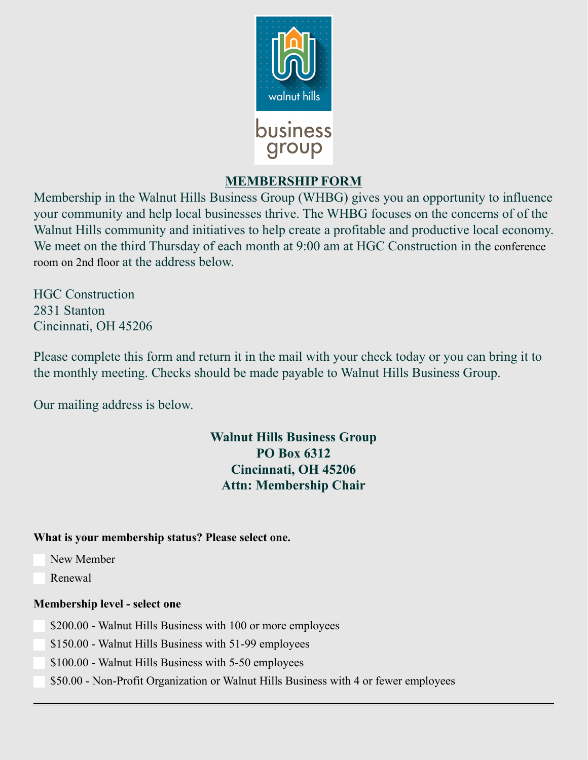

## **MEMBERSHIP FORM**

Membership in the Walnut Hills Business Group (WHBG) gives you an opportunity to influence your community and help local businesses thrive. The WHBG focuses on the concerns of of the Walnut Hills community and initiatives to help create a profitable and productive local economy. We meet on the third Thursday of each month at 9:00 am at HGC Construction in the conference room on 2nd floor at the address below.

HGC Construction 2831 Stanton Cincinnati, OH 45206

Please complete this form and return it in the mail with your check today or you can bring it to the monthly meeting. Checks should be made payable to Walnut Hills Business Group.

Our mailing address is below.

# **Walnut Hills Business Group PO Box 6312 Cincinnati, OH 45206 Attn: Membership Chair**

#### **What is your membership status? Please select one.**

- New Member
- $\Box$  Renewal

#### **Membership level - select one**

◯ \$200.00 - Walnut Hills Business with 100 or more employees

**150.00** - Walnut Hills Business with 51-99 employees

**S**100.00 - Walnut Hills Business with 5-50 employees

\$50.00 - Non-Profit Organization or Walnut Hills Business with 4 or fewer employees